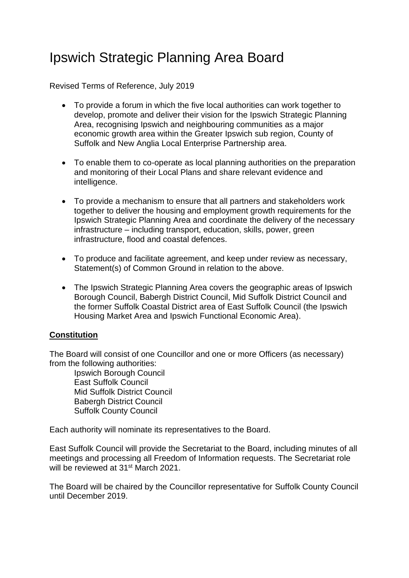## Ipswich Strategic Planning Area Board

Revised Terms of Reference, July 2019

- To provide a forum in which the five local authorities can work together to develop, promote and deliver their vision for the Ipswich Strategic Planning Area, recognising Ipswich and neighbouring communities as a major economic growth area within the Greater Ipswich sub region, County of Suffolk and New Anglia Local Enterprise Partnership area.
- To enable them to co-operate as local planning authorities on the preparation and monitoring of their Local Plans and share relevant evidence and intelligence.
- To provide a mechanism to ensure that all partners and stakeholders work together to deliver the housing and employment growth requirements for the Ipswich Strategic Planning Area and coordinate the delivery of the necessary infrastructure – including transport, education, skills, power, green infrastructure, flood and coastal defences.
- To produce and facilitate agreement, and keep under review as necessary, Statement(s) of Common Ground in relation to the above.
- The Ipswich Strategic Planning Area covers the geographic areas of Ipswich Borough Council, Babergh District Council, Mid Suffolk District Council and the former Suffolk Coastal District area of East Suffolk Council (the Ipswich Housing Market Area and Ipswich Functional Economic Area).

## **Constitution**

The Board will consist of one Councillor and one or more Officers (as necessary) from the following authorities:

Ipswich Borough Council East Suffolk Council Mid Suffolk District Council Babergh District Council Suffolk County Council

Each authority will nominate its representatives to the Board.

East Suffolk Council will provide the Secretariat to the Board, including minutes of all meetings and processing all Freedom of Information requests. The Secretariat role will be reviewed at 31<sup>st</sup> March 2021.

The Board will be chaired by the Councillor representative for Suffolk County Council until December 2019.